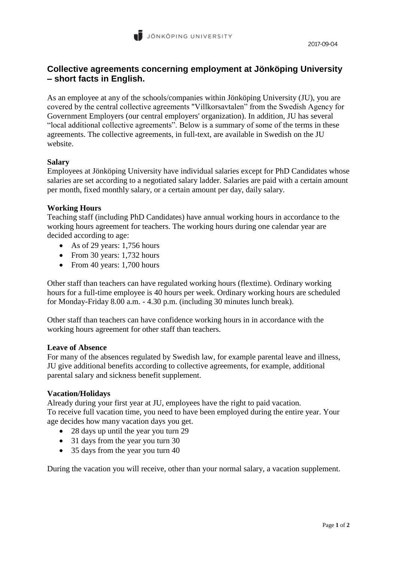

# **Collective agreements concerning employment at Jönköping University – short facts in English.**

As an employee at any of the schools/companies within Jönköping University (JU), you are covered by the central collective agreements "Villkorsavtalen" from the Swedish Agency for Government Employers (our central employers' organization). In addition, JU has several "local additional collective agreements". Below is a summary of some of the terms in these agreements. The collective agreements, in full-text, are available in Swedish on the JU website.

# **Salary**

Employees at Jönköping University have individual salaries except for PhD Candidates whose salaries are set according to a negotiated salary ladder. Salaries are paid with a certain amount per month, fixed monthly salary, or a certain amount per day, daily salary.

# **Working Hours**

Teaching staff (including PhD Candidates) have annual working hours in accordance to the working hours agreement for teachers. The working hours during one calendar year are decided according to age:

- As of 29 years:  $1,756$  hours
- From 30 years: 1,732 hours
- From 40 years: 1,700 hours

Other staff than teachers can have regulated working hours (flextime). Ordinary working hours for a full-time employee is 40 hours per week. Ordinary working hours are scheduled for Monday-Friday 8.00 a.m. - 4.30 p.m. (including 30 minutes lunch break).

Other staff than teachers can have confidence working hours in in accordance with the working hours agreement for other staff than teachers.

# **Leave of Absence**

For many of the absences regulated by Swedish law, for example parental leave and illness, JU give additional benefits according to collective agreements, for example, additional parental salary and sickness benefit supplement.

# **Vacation/Holidays**

Already during your first year at JU, employees have the right to paid vacation. To receive full vacation time, you need to have been employed during the entire year. Your age decides how many vacation days you get.

- 28 days up until the year you turn 29
- 31 days from the year you turn 30
- 35 days from the year you turn 40

During the vacation you will receive, other than your normal salary, a vacation supplement.